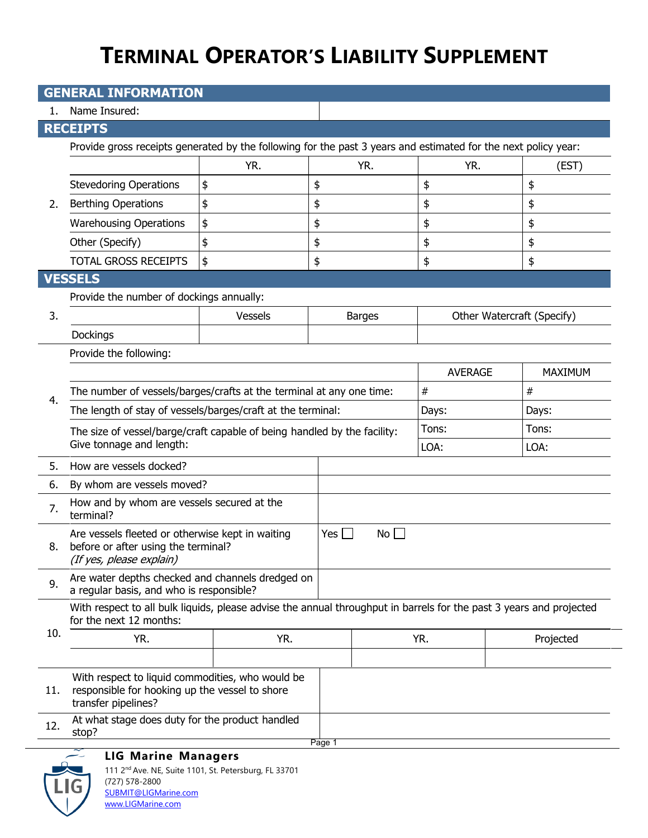| <b>GENERAL INFORMATION</b>           |                                                                                                                                                |                                            |                  |                |                            |  |  |  |
|--------------------------------------|------------------------------------------------------------------------------------------------------------------------------------------------|--------------------------------------------|------------------|----------------|----------------------------|--|--|--|
| 1.                                   | Name Insured:                                                                                                                                  |                                            |                  |                |                            |  |  |  |
|                                      | <b>RECEIPTS</b>                                                                                                                                |                                            |                  |                |                            |  |  |  |
| 2.                                   | Provide gross receipts generated by the following for the past 3 years and estimated for the next policy year:                                 |                                            |                  |                |                            |  |  |  |
|                                      |                                                                                                                                                | YR.                                        | YR.              | YR.            | (EST)                      |  |  |  |
|                                      | <b>Stevedoring Operations</b>                                                                                                                  | \$                                         | \$               | \$             | \$                         |  |  |  |
|                                      | <b>Berthing Operations</b>                                                                                                                     | \$                                         | \$               | \$             | \$                         |  |  |  |
|                                      | <b>Warehousing Operations</b>                                                                                                                  | \$                                         | \$               | \$             | \$                         |  |  |  |
|                                      | Other (Specify)                                                                                                                                | \$                                         | \$               | \$             | \$                         |  |  |  |
|                                      | <b>TOTAL GROSS RECEIPTS</b>                                                                                                                    | \$                                         | \$               | \$             | \$                         |  |  |  |
|                                      | <b>VESSELS</b>                                                                                                                                 |                                            |                  |                |                            |  |  |  |
|                                      |                                                                                                                                                | Provide the number of dockings annually:   |                  |                |                            |  |  |  |
| 3.                                   |                                                                                                                                                | Vessels                                    | <b>Barges</b>    |                | Other Watercraft (Specify) |  |  |  |
|                                      | Dockings                                                                                                                                       |                                            |                  |                |                            |  |  |  |
|                                      | Provide the following:                                                                                                                         |                                            |                  |                |                            |  |  |  |
|                                      |                                                                                                                                                |                                            |                  | <b>AVERAGE</b> | MAXIMUM                    |  |  |  |
| 4.                                   | The number of vessels/barges/crafts at the terminal at any one time:                                                                           |                                            |                  | $\#$           | #                          |  |  |  |
|                                      | The length of stay of vessels/barges/craft at the terminal:                                                                                    |                                            |                  | Days:          | Days:                      |  |  |  |
|                                      | The size of vessel/barge/craft capable of being handled by the facility:<br>Give tonnage and length:                                           |                                            |                  | Tons:          | Tons:                      |  |  |  |
|                                      |                                                                                                                                                |                                            |                  | LOA:           | LOA:                       |  |  |  |
| 5.                                   | How are vessels docked?                                                                                                                        |                                            |                  |                |                            |  |  |  |
| 6.                                   | By whom are vessels moved?                                                                                                                     |                                            |                  |                |                            |  |  |  |
| 7.                                   | terminal?                                                                                                                                      | How and by whom are vessels secured at the |                  |                |                            |  |  |  |
| 8.                                   | Are vessels fleeted or otherwise kept in waiting<br>before or after using the terminal?<br>(If yes, please explain)                            |                                            | $Yes \Box$<br>No |                |                            |  |  |  |
| 9.                                   | Are water depths checked and channels dredged on<br>a regular basis, and who is responsible?                                                   |                                            |                  |                |                            |  |  |  |
| 10.                                  | With respect to all bulk liquids, please advise the annual throughput in barrels for the past 3 years and projected<br>for the next 12 months: |                                            |                  |                |                            |  |  |  |
|                                      | YR.                                                                                                                                            | YR.                                        |                  | YR.            | Projected                  |  |  |  |
|                                      |                                                                                                                                                |                                            |                  |                |                            |  |  |  |
| 11.                                  | With respect to liquid commodities, who would be<br>responsible for hooking up the vessel to shore<br>transfer pipelines?                      |                                            |                  |                |                            |  |  |  |
| 12.                                  | At what stage does duty for the product handled<br>stop?                                                                                       |                                            |                  |                |                            |  |  |  |
| Page 1<br><b>LIG Marine Managers</b> |                                                                                                                                                |                                            |                  |                |                            |  |  |  |



111 2nd Ave. NE, Suite 1101, St. Petersburg, FL 33701 (727) 578-2800 [SUBMIT@LIGMarine.com](mailto:SUBMIT@LIGMarine.com) [www.LIGMarine.com](http://www.ligmarine.com/)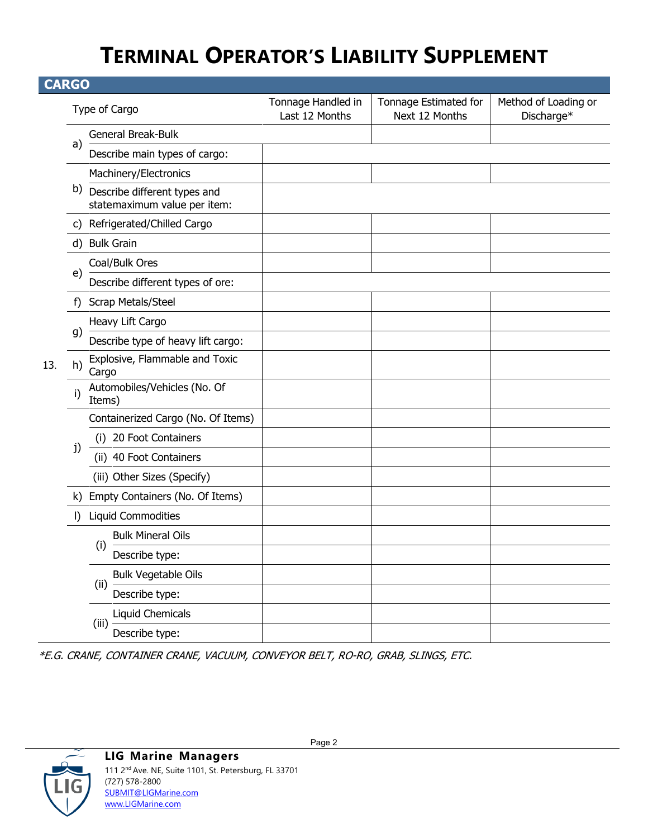| <b>CARGO</b> |    |                                                              |                                      |                                         |                                    |  |
|--------------|----|--------------------------------------------------------------|--------------------------------------|-----------------------------------------|------------------------------------|--|
|              |    | Type of Cargo                                                | Tonnage Handled in<br>Last 12 Months | Tonnage Estimated for<br>Next 12 Months | Method of Loading or<br>Discharge* |  |
|              |    | General Break-Bulk                                           |                                      |                                         |                                    |  |
|              | a) | Describe main types of cargo:                                |                                      |                                         |                                    |  |
|              |    | Machinery/Electronics                                        |                                      |                                         |                                    |  |
|              | b) | Describe different types and<br>statemaximum value per item: |                                      |                                         |                                    |  |
|              |    | c) Refrigerated/Chilled Cargo                                |                                      |                                         |                                    |  |
|              | d) | <b>Bulk Grain</b>                                            |                                      |                                         |                                    |  |
|              |    | Coal/Bulk Ores                                               |                                      |                                         |                                    |  |
|              | e) | Describe different types of ore:                             |                                      |                                         |                                    |  |
|              | f) | Scrap Metals/Steel                                           |                                      |                                         |                                    |  |
|              | g) | Heavy Lift Cargo                                             |                                      |                                         |                                    |  |
|              |    | Describe type of heavy lift cargo:                           |                                      |                                         |                                    |  |
| 13.          | h) | Explosive, Flammable and Toxic<br>Cargo                      |                                      |                                         |                                    |  |
|              | i) | Automobiles/Vehicles (No. Of<br>Items)                       |                                      |                                         |                                    |  |
|              |    | Containerized Cargo (No. Of Items)                           |                                      |                                         |                                    |  |
|              |    | 20 Foot Containers<br>(i)                                    |                                      |                                         |                                    |  |
|              | j) | (ii) 40 Foot Containers                                      |                                      |                                         |                                    |  |
|              |    | (iii) Other Sizes (Specify)                                  |                                      |                                         |                                    |  |
|              |    | k) Empty Containers (No. Of Items)                           |                                      |                                         |                                    |  |
|              | I) | <b>Liquid Commodities</b>                                    |                                      |                                         |                                    |  |
|              |    | <b>Bulk Mineral Oils</b>                                     |                                      |                                         |                                    |  |
|              |    | (i)<br>Describe type:                                        |                                      |                                         |                                    |  |
|              |    | <b>Bulk Vegetable Oils</b>                                   |                                      |                                         |                                    |  |
|              |    | (ii)<br>Describe type:                                       |                                      |                                         |                                    |  |
|              |    | Liquid Chemicals                                             |                                      |                                         |                                    |  |
|              |    | (iii)<br>Describe type:                                      |                                      |                                         |                                    |  |

\*E.G. CRANE, CONTAINER CRANE, VACUUM, CONVEYOR BELT, RO-RO, GRAB, SLINGS, ETC.

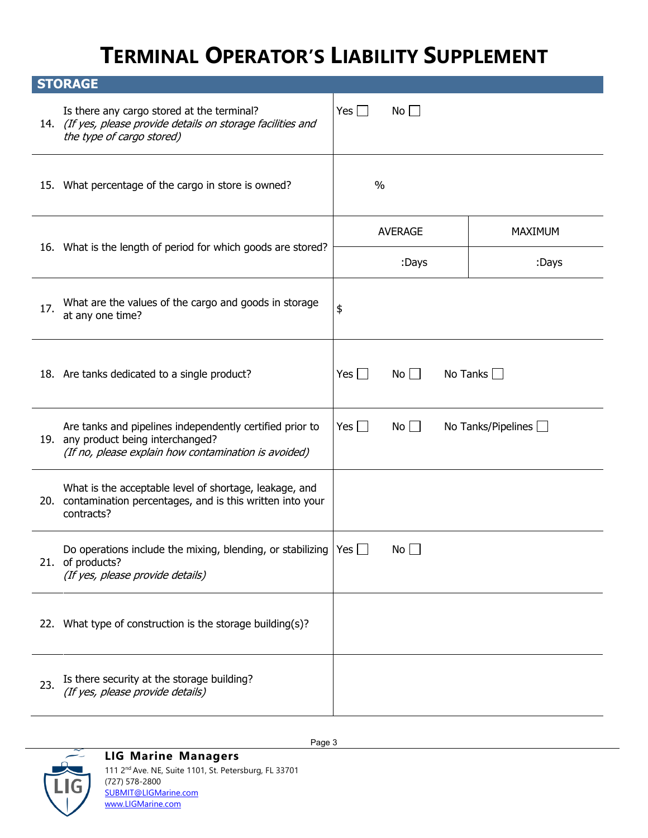| <b>STORAGE</b> |                                                                                                                                                         |                |                |  |                           |
|----------------|---------------------------------------------------------------------------------------------------------------------------------------------------------|----------------|----------------|--|---------------------------|
|                | Is there any cargo stored at the terminal?<br>14. (If yes, please provide details on storage facilities and<br>the type of cargo stored)                | Yes $\Box$     | $No$ $\Box$    |  |                           |
|                | 15. What percentage of the cargo in store is owned?                                                                                                     |                | $\frac{0}{0}$  |  |                           |
|                |                                                                                                                                                         | <b>AVERAGE</b> |                |  | <b>MAXIMUM</b>            |
|                | 16. What is the length of period for which goods are stored?                                                                                            |                | :Days          |  | :Days                     |
| 17.            | What are the values of the cargo and goods in storage<br>at any one time?                                                                               | \$             |                |  |                           |
|                | 18. Are tanks dedicated to a single product?                                                                                                            | Yes $\Box$     | $No \Box$      |  | No Tanks $\Box$           |
|                | Are tanks and pipelines independently certified prior to<br>19. any product being interchanged?<br>(If no, please explain how contamination is avoided) | Yes $\Box$     | $No$ $\Box$    |  | No Tanks/Pipelines $\Box$ |
|                | What is the acceptable level of shortage, leakage, and<br>20. contamination percentages, and is this written into your<br>contracts?                    |                |                |  |                           |
|                | Do operations include the mixing, blending, or stabilizing $ Yes $<br>21. of products?<br>(If yes, please provide details)                              |                | $No \bigsqcup$ |  |                           |
|                | 22. What type of construction is the storage building(s)?                                                                                               |                |                |  |                           |
| 23.            | Is there security at the storage building?<br>(If yes, please provide details)                                                                          |                |                |  |                           |